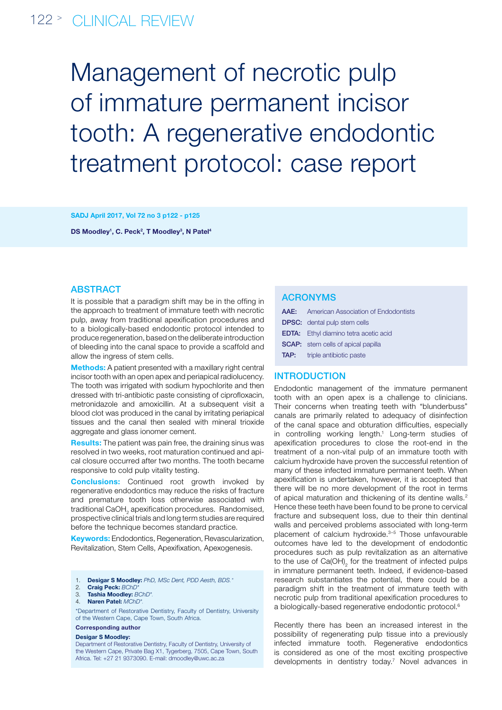# 122 > clinical review

Management of necrotic pulp of immature permanent incisor tooth: A regenerative endodontic treatment protocol: case report

SADJ April 2017, Vol 72 no 3 p122 - p125

DS Moodley<sup>1</sup>, C. Peck<sup>2</sup>, T Moodley<sup>3</sup>, N Patel<sup>4</sup>

# **ABSTRACT**

It is possible that a paradigm shift may be in the offing in the approach to treatment of immature teeth with necrotic pulp, away from traditional apexification procedures and to a biologically-based endodontic protocol intended to produce regeneration, based on the deliberate introduction of bleeding into the canal space to provide a scaffold and allow the ingress of stem cells.

Methods: A patient presented with a maxillary right central incisor tooth with an open apex and periapical radiolucency. The tooth was irrigated with sodium hypochlorite and then dressed with tri-antibiotic paste consisting of ciprofloxacin, metronidazole and amoxicillin. At a subsequent visit a blood clot was produced in the canal by irritating periapical tissues and the canal then sealed with mineral trioxide aggregate and glass ionomer cement.

Results: The patient was pain free, the draining sinus was resolved in two weeks, root maturation continued and apical closure occurred after two months. The tooth became responsive to cold pulp vitality testing.

**Conclusions:** Continued root growth invoked by regenerative endodontics may reduce the risks of fracture and premature tooth loss otherwise associated with traditional CaOH<sub>2</sub> apexification procedures. Randomised, prospective clinical trials and long term studies are required before the technique becomes standard practice.

Keywords: Endodontics, Regeneration, Revascularization, Revitalization, Stem Cells, Apexifixation, Apexogenesis.

|  |  |  | <b>Desigar S Moodley:</b> PhD, MSc Dent, PDD Aesth, BDS.' |  |  |
|--|--|--|-----------------------------------------------------------|--|--|
|--|--|--|-----------------------------------------------------------|--|--|

- 2. Craig Peck: *BChD\**
- 3. Tashia Moodley: *BChD\*.*
- 4. Naren Patel: *MChD\*.*

\*Department of Restorative Dentistry, Faculty of Dentistry, University of the Western Cape, Cape Town, South Africa.

Corresponding author

#### Desigar S Moodley:

Department of Restorative Dentistry, Faculty of Dentistry, University of the Western Cape, Private Bag X1, Tygerberg, 7505, Cape Town, South Africa. Tel: +27 21 9373090. E-mail: dmoodley@uwc.ac.za

## ACRONYMs

| <b>AAE:</b> American Association of Endodontists |
|--------------------------------------------------|
| <b>DPSC:</b> dental pulp stem cells              |
| <b>EDTA:</b> Ethyl diamino tetra acetic acid     |
| <b>SCAP:</b> stem cells of apical papilla        |
| <b>TAP:</b> triple antibiotic paste              |

## **INTRODUCTION**

Endodontic management of the immature permanent tooth with an open apex is a challenge to clinicians. Their concerns when treating teeth with "blunderbuss" canals are primarily related to adequacy of disinfection of the canal space and obturation difficulties, especially in controlling working length.<sup>1</sup> Long-term studies of apexification procedures to close the root-end in the treatment of a non-vital pulp of an immature tooth with calcium hydroxide have proven the successful retention of many of these infected immature permanent teeth. When apexification is undertaken, however, it is accepted that there will be no more development of the root in terms of apical maturation and thickening of its dentine walls.<sup>2</sup> Hence these teeth have been found to be prone to cervical fracture and subsequent loss, due to their thin dentinal walls and perceived problems associated with long-term placement of calcium hydroxide.3–5 Those unfavourable outcomes have led to the development of endodontic procedures such as pulp revitalization as an alternative to the use of  $Ca(OH)_{2}$  for the treatment of infected pulps in immature permanent teeth. Indeed, if evidence-based research substantiates the potential, there could be a paradigm shift in the treatment of immature teeth with necrotic pulp from traditional apexification procedures to a biologically-based regenerative endodontic protocol.6

Recently there has been an increased interest in the possibility of regenerating pulp tissue into a previously infected immature tooth. Regenerative endodontics is considered as one of the most exciting prospective developments in dentistry today.7 Novel advances in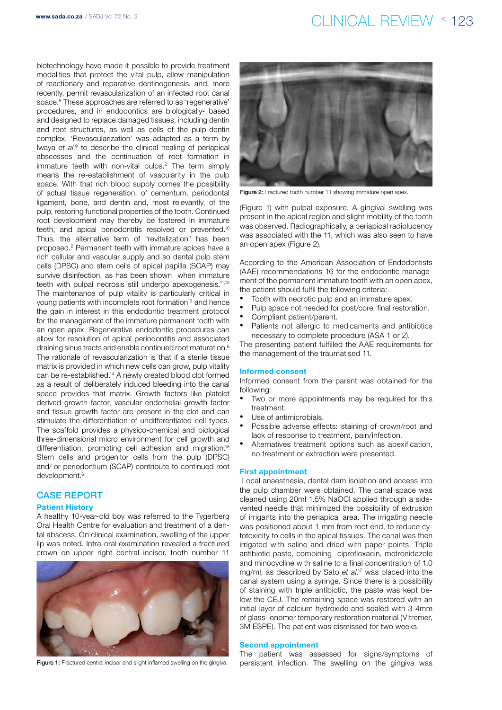# www.sada.co.za / SADJ Vol 72 No. 3 co.  $CLINICAL REVIEW \le 123$

biotechnology have made it possible to provide treatment modalities that protect the vital pulp, allow manipulation of reactionary and reparative dentinogenesis, and, more recently, permit revascularization of an infected root canal space.<sup>8</sup> These approaches are referred to as 'regenerative' procedures, and in endodontics are biologically- based and designed to replace damaged tissues, including dentin and root structures, as well as cells of the pulp-dentin complex. 'Revascularization' was adapted as a term by lwaya et al.<sup>9</sup> to describe the clinical healing of periapical abscesses and the continuation of root formation in immature teeth with non-vital pulps.<sup>2</sup> The term simply means the re-establishment of vascularity in the pulp space. With that rich blood supply comes the possibility of actual tissue regeneration, of cementum, periodontal ligament, bone, and dentin and, most relevantly, of the pulp, restoring functional properties of the tooth. Continued root development may thereby be fostered in immature teeth, and apical periodontitis resolved or prevented.10 Thus, the alternative term of "revitalization" has been proposed.2 Permanent teeth with immature apices have a rich cellular and vascular supply and so dental pulp stem cells (DPSC) and stem cells of apical papilla (SCAP) may survive disinfection, as has been shown when immature teeth with pulpal necrosis still undergo apexogenesis.<sup>11,12</sup> The maintenance of pulp vitality is particularly critical in young patients with incomplete root formation<sup>13</sup> and hence the gain in interest in this endodontic treatment protocol for the management of the immature permanent tooth with an open apex. Regenerative endodontic procedures can allow for resolution of apical periodontitis and associated draining sinus tracts and enable continued root maturation.6 The rationale of revascularization is that if a sterile tissue matrix is provided in which new cells can grow, pulp vitality can be re-established.14 A newly created blood clot formed as a result of deliberately induced bleeding into the canal space provides that matrix. Growth factors like platelet derived growth factor, vascular endothelial growth factor and tissue growth factor are present in the clot and can stimulate the differentiation of undifferentiated cell types. The scaffold provides a physico-chemical and biological three-dimensional micro environment for cell growth and differentiation, promoting cell adhesion and migration.<sup>15</sup> Stem cells and progenitor cells from the pulp (DPSC) and⁄ or periodontium (SCAP) contribute to continued root development.6

## Case Report

## Patient History

A healthy 10-year-old boy was referred to the Tygerberg Oral Health Centre for evaluation and treatment of a dental abscess. On clinical examination, swelling of the upper lip was noted. Intra-oral examination revealed a fractured crown on upper right central incisor, tooth number 11





Figure 2: Fractured tooth number 11 showing immature open apex.

(Figure 1) with pulpal exposure. A gingival swelling was present in the apical region and slight mobility of the tooth was observed. Radiographically, a periapical radiolucency was associated with the 11, which was also seen to have an open apex (Figure 2).

According to the American Association of Endodontists (AAE) recommendations 16 for the endodontic management of the permanent immature tooth with an open apex, the patient should fulfil the following criteria:

- Tooth with necrotic pulp and an immature apex.
- Pulp space not needed for post/core, final restoration.
- Compliant patient/parent.
- Patients not allergic to medicaments and antibiotics necessary to complete procedure (ASA 1 or 2).

The presenting patient fulfilled the AAE requirements for the management of the traumatised 11.

### Informed consent

Informed consent from the parent was obtained for the following:

- Two or more appointments may be required for this treatment.
- Use of antimicrobials.
- Possible adverse effects: staining of crown/root and lack of response to treatment, pain/infection.
- Alternatives treatment options such as apexification, no treatment or extraction were presented.

#### First appointment

 Local anaesthesia, dental dam isolation and access into the pulp chamber were obtained. The canal space was cleaned using 20ml 1.5% NaOCl applied through a sidevented needle that minimized the possibility of extrusion of irrigants into the periapical area. The irrigating needle was positioned about 1 mm from root end, to reduce cytotoxicity to cells in the apical tissues. The canal was then irrigated with saline and dried with paper points. Triple antibiotic paste, combining ciprofloxacin, metronidazole and minocycline with saline to a final concentration of 1.0 mg/ml, as described by Sato *et al*. 17 was placed into the canal system using a syringe. Since there is a possibility of staining with triple antibiotic, the paste was kept below the CEJ. The remaining space was restored with an initial layer of calcium hydroxide and sealed with 3-4mm of glass-ionomer temporary restoration material (Vitremer, 3M ESPE). The patient was dismissed for two weeks.

#### Second appointment

The patient was assessed for signs/symptoms of Figure 1: Fractured central incisor and slight inflamed swelling on the gingiva. persistent infection. The swelling on the gingiva was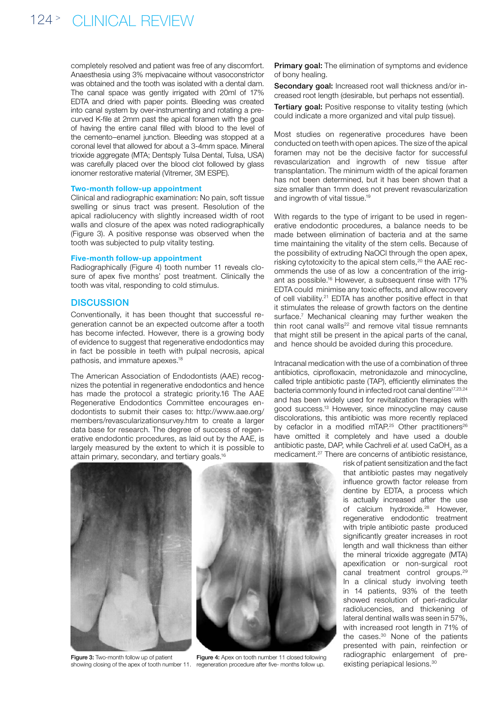completely resolved and patient was free of any discomfort. Anaesthesia using 3% mepivacaine without vasoconstrictor was obtained and the tooth was isolated with a dental dam. The canal space was gently irrigated with 20ml of 17% EDTA and dried with paper points. Bleeding was created into canal system by over-instrumenting and rotating a precurved K-file at 2mm past the apical foramen with the goal of having the entire canal filled with blood to the level of the cemento–enamel junction. Bleeding was stopped at a coronal level that allowed for about a 3-4mm space. Mineral trioxide aggregate (MTA; Dentsply Tulsa Dental, Tulsa, USA) was carefully placed over the blood clot followed by glass ionomer restorative material (Vitremer, 3M ESPE).

## Two-month follow-up appointment

Clinical and radiographic examination: No pain, soft tissue swelling or sinus tract was present. Resolution of the apical radiolucency with slightly increased width of root walls and closure of the apex was noted radiographically (Figure 3). A positive response was observed when the tooth was subjected to pulp vitality testing.

### Five-month follow-up appointment

Radiographically (Figure 4) tooth number 11 reveals closure of apex five months' post treatment. Clinically the tooth was vital, responding to cold stimulus.

## **DISCUSSION**

Conventionally, it has been thought that successful regeneration cannot be an expected outcome after a tooth has become infected. However, there is a growing body of evidence to suggest that regenerative endodontics may in fact be possible in teeth with pulpal necrosis, apical pathosis, and immature apexes.18

The American Association of Endodontists (AAE) recognizes the potential in regenerative endodontics and hence has made the protocol a strategic priority.16 The AAE Regenerative Endodontics Committee encourages endodontists to submit their cases to: http://www.aae.org/ members/revascularizationsurvey.htm to create a larger data base for research. The degree of success of regenerative endodontic procedures, as laid out by the AAE, is largely measured by the extent to which it is possible to attain primary, secondary, and tertiary goals.<sup>16</sup>

Primary goal: The elimination of symptoms and evidence of bony healing.

Secondary goal: Increased root wall thickness and/or increased root length (desirable, but perhaps not essential).

**Tertiary goal:** Positive response to vitality testing (which could indicate a more organized and vital pulp tissue).

Most studies on regenerative procedures have been conducted on teeth with open apices. The size of the apical foramen may not be the decisive factor for successful revascularization and ingrowth of new tissue after transplantation. The minimum width of the apical foramen has not been determined, but it has been shown that a size smaller than 1mm does not prevent revascularization and ingrowth of vital tissue.19

With regards to the type of irrigant to be used in regenerative endodontic procedures, a balance needs to be made between elimination of bacteria and at the same time maintaining the vitality of the stem cells. Because of the possibility of extruding NaOCl through the open apex, risking cytotoxicity to the apical stem cells,<sup>20</sup> the AAE recommends the use of as low a concentration of the irrigant as possible.16 However, a subsequent rinse with 17% EDTA could minimise any toxic effects, and allow recovery of cell viability.21 EDTA has another positive effect in that it stimulates the release of growth factors on the dentine surface.<sup>7</sup> Mechanical cleaning may further weaken the thin root canal walls<sup>22</sup> and remove vital tissue remnants that might still be present in the apical parts of the canal, and hence should be avoided during this procedure.

Intracanal medication with the use of a combination of three antibiotics, ciprofloxacin, metronidazole and minocycline, called triple antibiotic paste (TAP), efficiently eliminates the bacteria commonly found in infected root canal dentine<sup>17,23,24</sup> and has been widely used for revitalization therapies with good success.13 However, since minocycline may cause discolorations, this antibiotic was more recently replaced by cefaclor in a modified mTAP.<sup>25</sup> Other practitioners<sup>26</sup> have omitted it completely and have used a double antibiotic paste, DAP, while Cachreli et al. used CaOH<sub>2</sub> as a medicament.<sup>27</sup> There are concerns of antibiotic resistance,



Figure 3: Two-month follow up of patient

showing closing of the apex of tooth number 11. regeneration procedure after five- months follow up.Figure 4: Apex on tooth number 11 closed following

risk of patient sensitization and the fact that antibiotic pastes may negatively influence growth factor release from dentine by EDTA, a process which is actually increased after the use of calcium hydroxide.<sup>28</sup> However, regenerative endodontic treatment with triple antibiotic paste produced significantly greater increases in root length and wall thickness than either the mineral trioxide aggregate (MTA) apexification or non-surgical root canal treatment control groups.29 In a clinical study involving teeth in 14 patients, 93% of the teeth showed resolution of peri-radicular radiolucencies, and thickening of lateral dentinal walls was seen in 57%, with increased root length in 71% of the cases.30 None of the patients presented with pain, reinfection or radiographic enlargement of preexisting periapical lesions.30